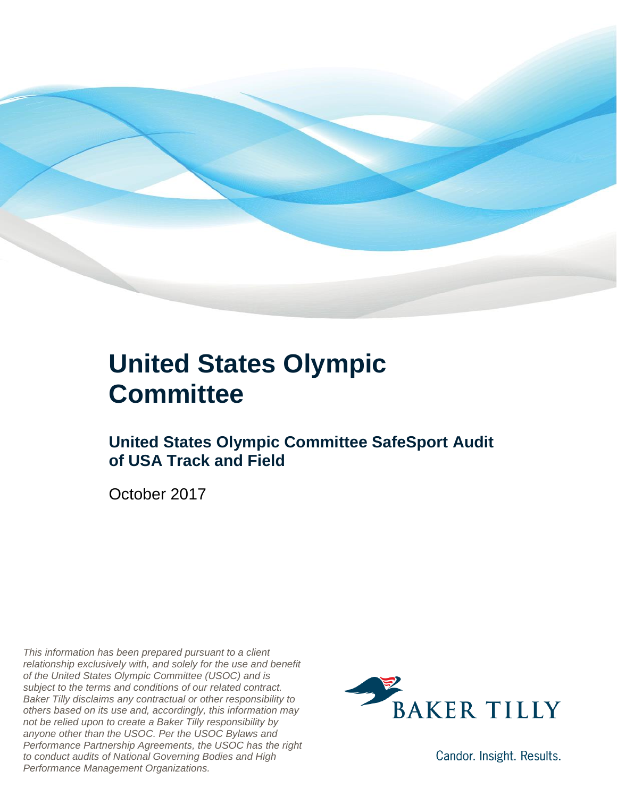

### **United States Olympic Committee**

#### **United States Olympic Committee SafeSport Audit of USA Track and Field**

October 2017

*This information has been prepared pursuant to a client relationship exclusively with, and solely for the use and benefit of the United States Olympic Committee (USOC) and is subject to the terms and conditions of our related contract. Baker Tilly disclaims any contractual or other responsibility to others based on its use and, accordingly, this information may not be relied upon to create a Baker Tilly responsibility by anyone other than the USOC. Per the USOC Bylaws and Performance Partnership Agreements, the USOC has the right to conduct audits of National Governing Bodies and High Performance Management Organizations.*



Candor. Insight. Results.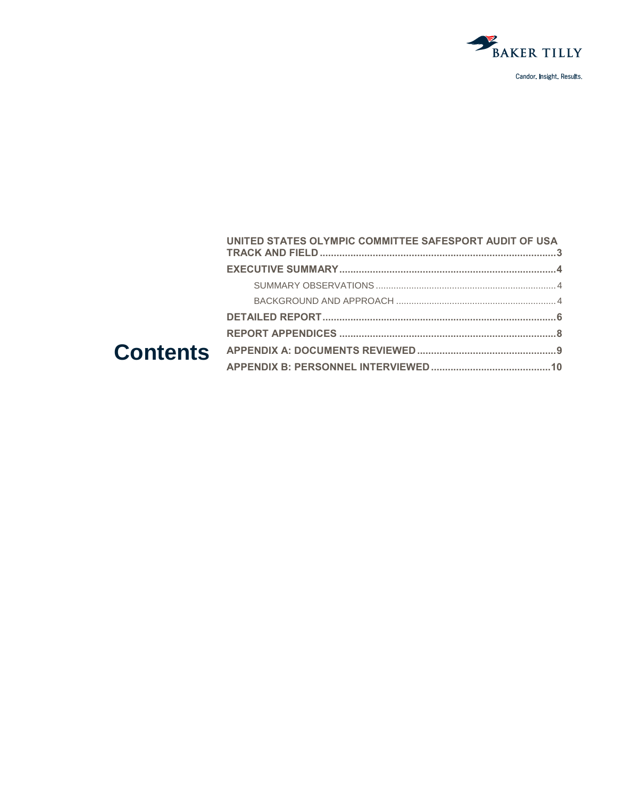

|  | UNITED STATES OLYMPIC COMMITTEE SAFESPORT AUDIT OF USA |  |
|--|--------------------------------------------------------|--|
|  |                                                        |  |
|  |                                                        |  |
|  |                                                        |  |
|  |                                                        |  |
|  |                                                        |  |
|  |                                                        |  |
|  |                                                        |  |
|  |                                                        |  |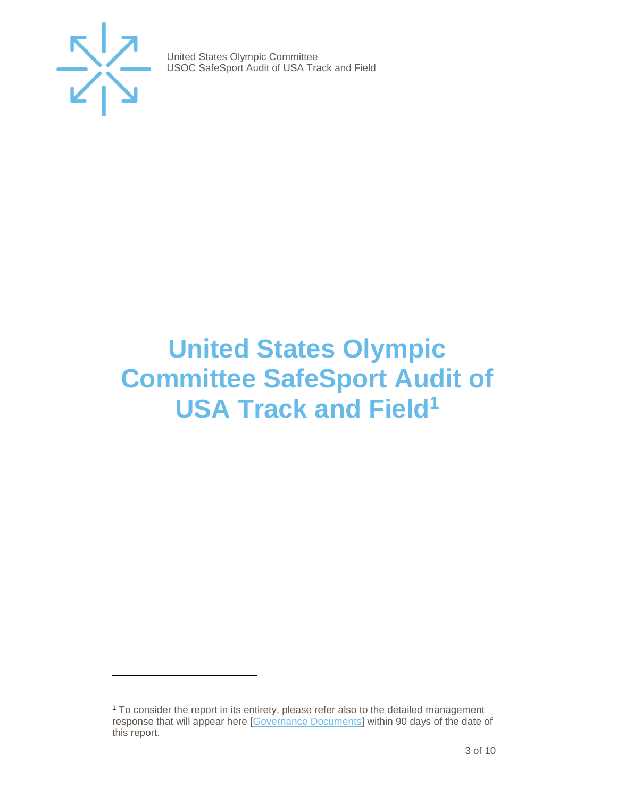

 $\overline{a}$ 

United States Olympic Committee USOC SafeSport Audit of USA Track and Field

## <span id="page-2-0"></span>**United States Olympic Committee SafeSport Audit of USA Track and Field<sup>1</sup>**

<sup>1</sup> To consider the report in its entirety, please refer also to the detailed management response that will appear here [\[Governance Documents\]](https://www.teamusa.org/Footer/Legal/Governance-Documents) within 90 days of the date of this report.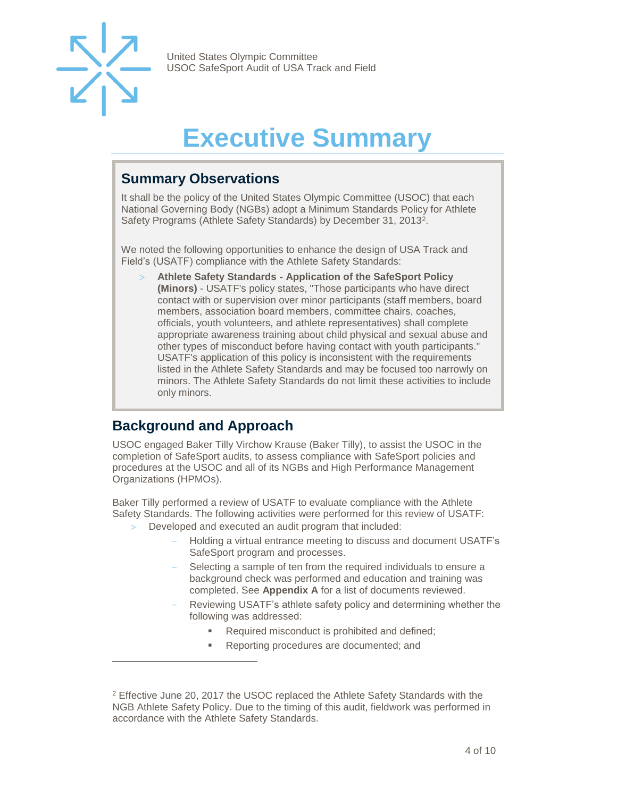

 $\overline{a}$ 

United States Olympic Committee USOC SafeSport Audit of USA Track and Field

# **Executive Summary**

#### <span id="page-3-1"></span><span id="page-3-0"></span>**Summary Observations**

It shall be the policy of the United States Olympic Committee (USOC) that each National Governing Body (NGBs) adopt a Minimum Standards Policy for Athlete Safety Programs (Athlete Safety Standards) by December 31, 2013<sup>2</sup>.

We noted the following opportunities to enhance the design of USA Track and Field's (USATF) compliance with the Athlete Safety Standards:

 **Athlete Safety Standards - Application of the SafeSport Policy (Minors)** - USATF's policy states, "Those participants who have direct contact with or supervision over minor participants (staff members, board members, association board members, committee chairs, coaches, officials, youth volunteers, and athlete representatives) shall complete appropriate awareness training about child physical and sexual abuse and other types of misconduct before having contact with youth participants." USATF's application of this policy is inconsistent with the requirements listed in the Athlete Safety Standards and may be focused too narrowly on minors. The Athlete Safety Standards do not limit these activities to include only minors.

#### <span id="page-3-2"></span>**Background and Approach**

USOC engaged Baker Tilly Virchow Krause (Baker Tilly), to assist the USOC in the completion of SafeSport audits, to assess compliance with SafeSport policies and procedures at the USOC and all of its NGBs and High Performance Management Organizations (HPMOs).

Baker Tilly performed a review of USATF to evaluate compliance with the Athlete Safety Standards. The following activities were performed for this review of USATF:

- Developed and executed an audit program that included:
	- Holding a virtual entrance meeting to discuss and document USATF's SafeSport program and processes.
	- Selecting a sample of ten from the required individuals to ensure a background check was performed and education and training was completed. See **Appendix A** for a list of documents reviewed.
	- Reviewing USATF's athlete safety policy and determining whether the following was addressed:
		- Required misconduct is prohibited and defined;
		- Reporting procedures are documented; and

<sup>2</sup> Effective June 20, 2017 the USOC replaced the Athlete Safety Standards with the NGB Athlete Safety Policy. Due to the timing of this audit, fieldwork was performed in accordance with the Athlete Safety Standards.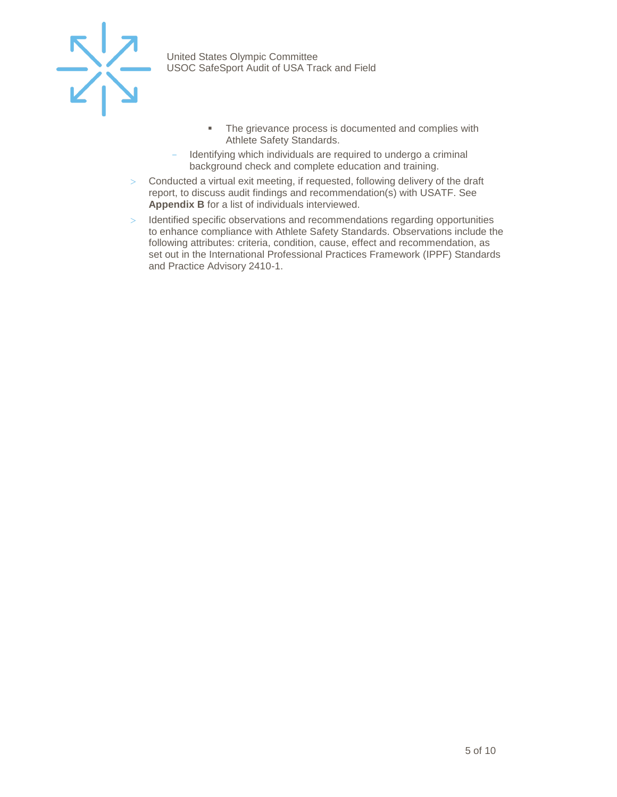

- **•** The grievance process is documented and complies with Athlete Safety Standards.
- Identifying which individuals are required to undergo a criminal background check and complete education and training.
- Conducted a virtual exit meeting, if requested, following delivery of the draft report, to discuss audit findings and recommendation(s) with USATF. See **Appendix B** for a list of individuals interviewed.
- > Identified specific observations and recommendations regarding opportunities to enhance compliance with Athlete Safety Standards. Observations include the following attributes: criteria, condition, cause, effect and recommendation, as set out in the International Professional Practices Framework (IPPF) Standards and Practice Advisory 2410-1.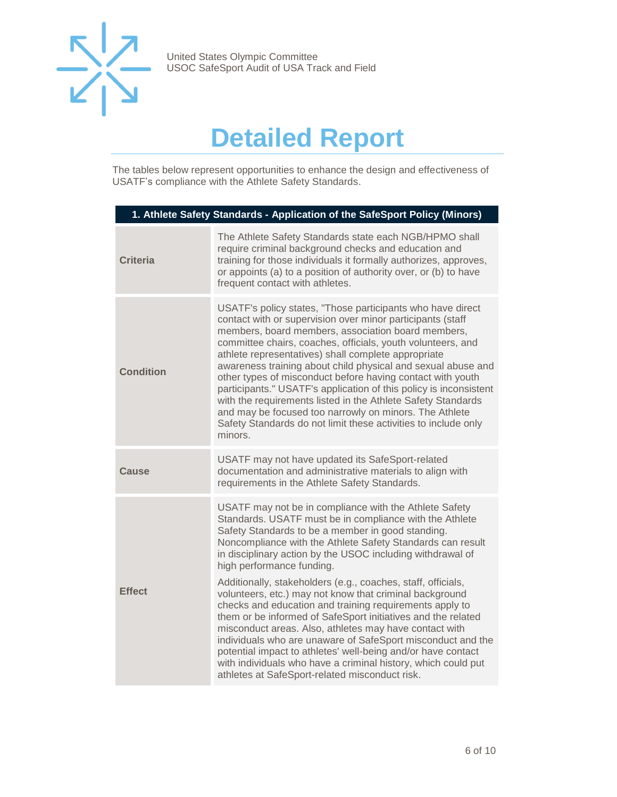

## **Detailed Report**

<span id="page-5-0"></span>The tables below represent opportunities to enhance the design and effectiveness of USATF's compliance with the Athlete Safety Standards.

| 1. Athlete Safety Standards - Application of the SafeSport Policy (Minors)                                                                                                                                                                                                                                                                                                                                                                                                                                                                                                                                                                                                                                                                                                                                                                                                                        |  |  |
|---------------------------------------------------------------------------------------------------------------------------------------------------------------------------------------------------------------------------------------------------------------------------------------------------------------------------------------------------------------------------------------------------------------------------------------------------------------------------------------------------------------------------------------------------------------------------------------------------------------------------------------------------------------------------------------------------------------------------------------------------------------------------------------------------------------------------------------------------------------------------------------------------|--|--|
| The Athlete Safety Standards state each NGB/HPMO shall<br>require criminal background checks and education and<br>training for those individuals it formally authorizes, approves,<br>or appoints (a) to a position of authority over, or (b) to have<br>frequent contact with athletes.                                                                                                                                                                                                                                                                                                                                                                                                                                                                                                                                                                                                          |  |  |
| USATF's policy states, "Those participants who have direct<br>contact with or supervision over minor participants (staff<br>members, board members, association board members,<br>committee chairs, coaches, officials, youth volunteers, and<br>athlete representatives) shall complete appropriate<br>awareness training about child physical and sexual abuse and<br>other types of misconduct before having contact with youth<br>participants." USATF's application of this policy is inconsistent<br>with the requirements listed in the Athlete Safety Standards<br>and may be focused too narrowly on minors. The Athlete<br>Safety Standards do not limit these activities to include only<br>minors.                                                                                                                                                                                    |  |  |
| USATF may not have updated its SafeSport-related<br>documentation and administrative materials to align with<br>requirements in the Athlete Safety Standards.                                                                                                                                                                                                                                                                                                                                                                                                                                                                                                                                                                                                                                                                                                                                     |  |  |
| USATF may not be in compliance with the Athlete Safety<br>Standards. USATF must be in compliance with the Athlete<br>Safety Standards to be a member in good standing.<br>Noncompliance with the Athlete Safety Standards can result<br>in disciplinary action by the USOC including withdrawal of<br>high performance funding.<br>Additionally, stakeholders (e.g., coaches, staff, officials,<br>volunteers, etc.) may not know that criminal background<br>checks and education and training requirements apply to<br>them or be informed of SafeSport initiatives and the related<br>misconduct areas. Also, athletes may have contact with<br>individuals who are unaware of SafeSport misconduct and the<br>potential impact to athletes' well-being and/or have contact<br>with individuals who have a criminal history, which could put<br>athletes at SafeSport-related misconduct risk. |  |  |
|                                                                                                                                                                                                                                                                                                                                                                                                                                                                                                                                                                                                                                                                                                                                                                                                                                                                                                   |  |  |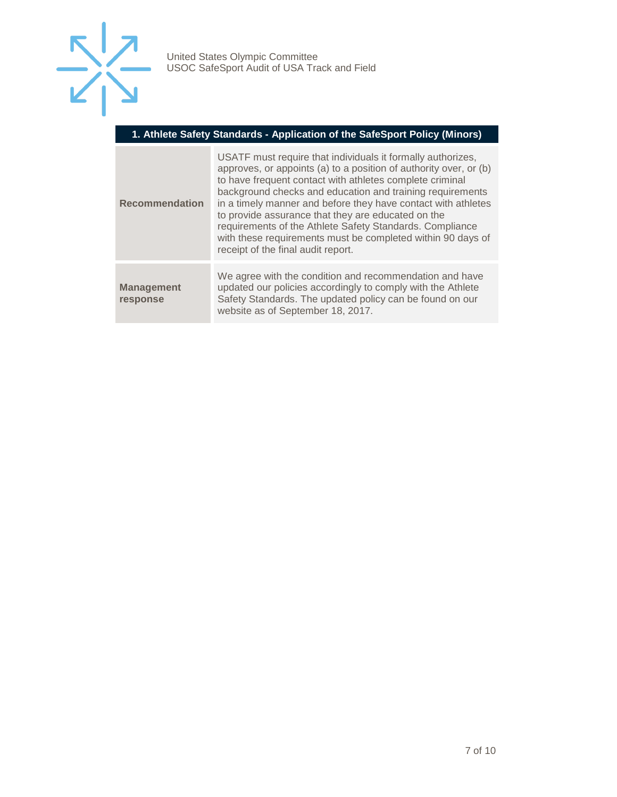

#### **1. Athlete Safety Standards - Application of the SafeSport Policy (Minors)**

| <b>Recommendation</b>         | USATF must require that individuals it formally authorizes,<br>approves, or appoints (a) to a position of authority over, or (b)<br>to have frequent contact with athletes complete criminal<br>background checks and education and training requirements<br>in a timely manner and before they have contact with athletes<br>to provide assurance that they are educated on the<br>requirements of the Athlete Safety Standards. Compliance<br>with these requirements must be completed within 90 days of<br>receipt of the final audit report. |
|-------------------------------|---------------------------------------------------------------------------------------------------------------------------------------------------------------------------------------------------------------------------------------------------------------------------------------------------------------------------------------------------------------------------------------------------------------------------------------------------------------------------------------------------------------------------------------------------|
| <b>Management</b><br>response | We agree with the condition and recommendation and have<br>updated our policies accordingly to comply with the Athlete<br>Safety Standards. The updated policy can be found on our<br>website as of September 18, 2017.                                                                                                                                                                                                                                                                                                                           |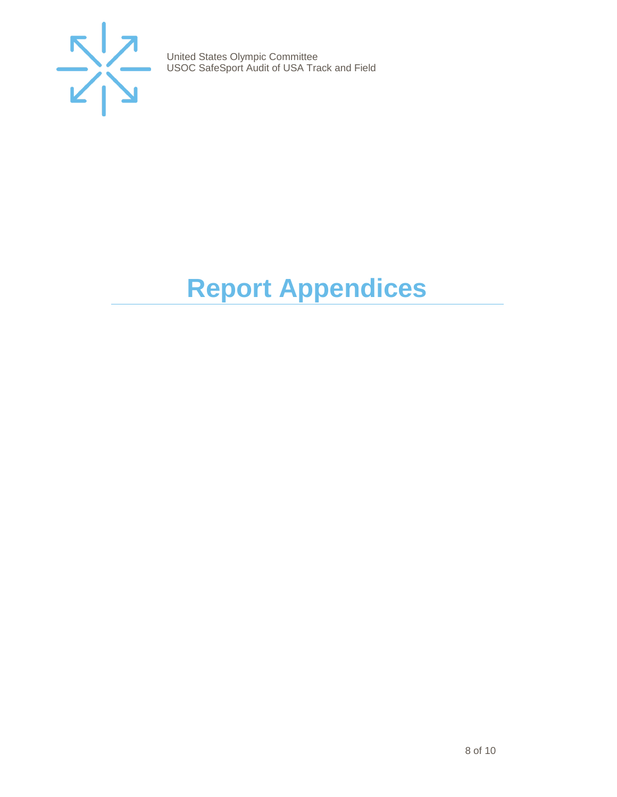

# <span id="page-7-0"></span>**Report Appendices**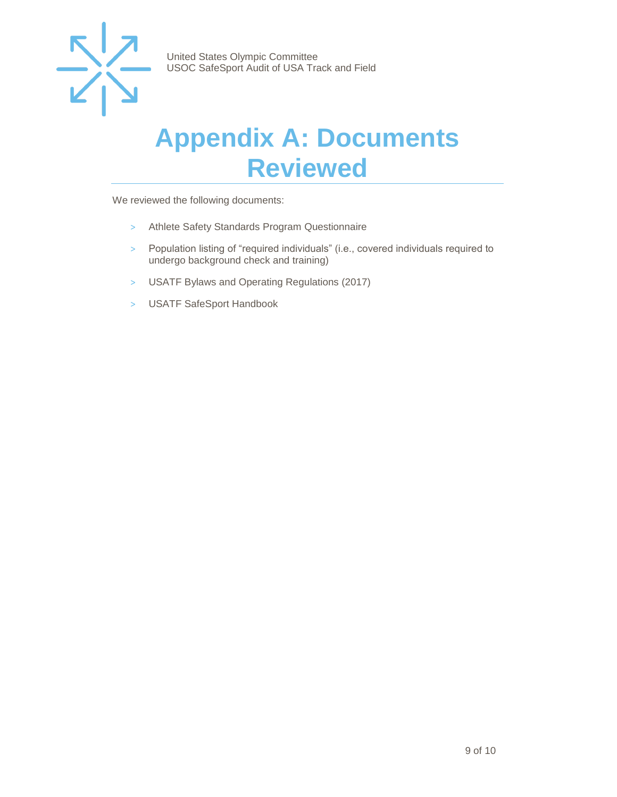

### <span id="page-8-0"></span>**Appendix A: Documents Reviewed**

We reviewed the following documents:

- > Athlete Safety Standards Program Questionnaire
- > Population listing of "required individuals" (i.e., covered individuals required to undergo background check and training)
- > USATF Bylaws and Operating Regulations (2017)
- > USATF SafeSport Handbook